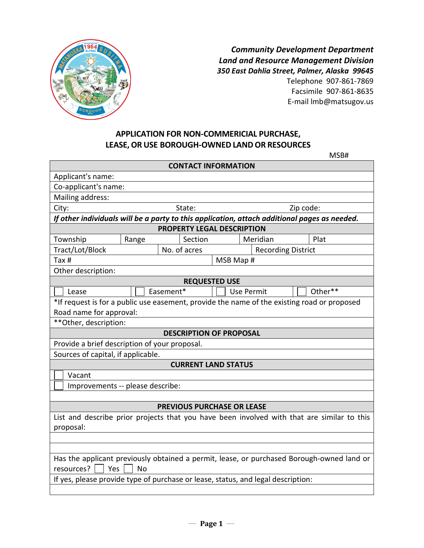

*Community Development Department Land and Resource Management Division 350 East Dahlia Street, Palmer, Alaska 99645* Telephone 907-861-7869 Facsimile 907-861-8635 E-mail lmb@matsugov.us

MSB#

## **APPLICATION FOR NON-COMMERICIAL PURCHASE, LEASE, OR USE BOROUGH-OWNED LANDOR RESOURCES**

| <b>CONTACT INFORMATION</b>                                                                                                                        |                                                              |                                   |                                                                                  |                                                                                           |  |  |  |  |  |  |  |
|---------------------------------------------------------------------------------------------------------------------------------------------------|--------------------------------------------------------------|-----------------------------------|----------------------------------------------------------------------------------|-------------------------------------------------------------------------------------------|--|--|--|--|--|--|--|
|                                                                                                                                                   |                                                              |                                   |                                                                                  |                                                                                           |  |  |  |  |  |  |  |
| Applicant's name:<br>Co-applicant's name:                                                                                                         |                                                              |                                   |                                                                                  |                                                                                           |  |  |  |  |  |  |  |
|                                                                                                                                                   |                                                              |                                   |                                                                                  |                                                                                           |  |  |  |  |  |  |  |
| Mailing address:                                                                                                                                  |                                                              |                                   |                                                                                  |                                                                                           |  |  |  |  |  |  |  |
| City:<br>Zip code:<br>State:                                                                                                                      |                                                              |                                   |                                                                                  |                                                                                           |  |  |  |  |  |  |  |
| If other individuals will be a party to this application, attach additional pages as needed.<br>PROPERTY LEGAL DESCRIPTION                        |                                                              |                                   |                                                                                  |                                                                                           |  |  |  |  |  |  |  |
| Township                                                                                                                                          | Section<br>Meridian<br>Plat                                  |                                   |                                                                                  |                                                                                           |  |  |  |  |  |  |  |
|                                                                                                                                                   | Range                                                        |                                   |                                                                                  |                                                                                           |  |  |  |  |  |  |  |
|                                                                                                                                                   | Tract/Lot/Block<br>No. of acres<br><b>Recording District</b> |                                   |                                                                                  |                                                                                           |  |  |  |  |  |  |  |
| Tax $#$<br>MSB Map #                                                                                                                              |                                                              |                                   |                                                                                  |                                                                                           |  |  |  |  |  |  |  |
| Other description:                                                                                                                                |                                                              |                                   |                                                                                  |                                                                                           |  |  |  |  |  |  |  |
|                                                                                                                                                   | <b>REQUESTED USE</b>                                         |                                   |                                                                                  |                                                                                           |  |  |  |  |  |  |  |
| Easement*<br><b>Use Permit</b><br>Other**<br>Lease<br>*If request is for a public use easement, provide the name of the existing road or proposed |                                                              |                                   |                                                                                  |                                                                                           |  |  |  |  |  |  |  |
| Road name for approval:                                                                                                                           |                                                              |                                   |                                                                                  |                                                                                           |  |  |  |  |  |  |  |
| ** Other, description:                                                                                                                            |                                                              |                                   |                                                                                  |                                                                                           |  |  |  |  |  |  |  |
|                                                                                                                                                   |                                                              | <b>DESCRIPTION OF PROPOSAL</b>    |                                                                                  |                                                                                           |  |  |  |  |  |  |  |
| Provide a brief description of your proposal.                                                                                                     |                                                              |                                   |                                                                                  |                                                                                           |  |  |  |  |  |  |  |
| Sources of capital, if applicable.                                                                                                                |                                                              |                                   |                                                                                  |                                                                                           |  |  |  |  |  |  |  |
|                                                                                                                                                   |                                                              |                                   |                                                                                  |                                                                                           |  |  |  |  |  |  |  |
| <b>CURRENT LAND STATUS</b><br>Vacant                                                                                                              |                                                              |                                   |                                                                                  |                                                                                           |  |  |  |  |  |  |  |
| Improvements -- please describe:                                                                                                                  |                                                              |                                   |                                                                                  |                                                                                           |  |  |  |  |  |  |  |
|                                                                                                                                                   |                                                              |                                   |                                                                                  |                                                                                           |  |  |  |  |  |  |  |
|                                                                                                                                                   |                                                              | <b>PREVIOUS PURCHASE OR LEASE</b> |                                                                                  |                                                                                           |  |  |  |  |  |  |  |
| List and describe prior projects that you have been involved with that are similar to this                                                        |                                                              |                                   |                                                                                  |                                                                                           |  |  |  |  |  |  |  |
| proposal:                                                                                                                                         |                                                              |                                   |                                                                                  |                                                                                           |  |  |  |  |  |  |  |
|                                                                                                                                                   |                                                              |                                   |                                                                                  |                                                                                           |  |  |  |  |  |  |  |
|                                                                                                                                                   |                                                              |                                   |                                                                                  |                                                                                           |  |  |  |  |  |  |  |
|                                                                                                                                                   |                                                              |                                   |                                                                                  | Has the applicant previously obtained a permit, lease, or purchased Borough-owned land or |  |  |  |  |  |  |  |
| resources?<br>  Yes<br><b>No</b>                                                                                                                  |                                                              |                                   |                                                                                  |                                                                                           |  |  |  |  |  |  |  |
|                                                                                                                                                   |                                                              |                                   | If yes, please provide type of purchase or lease, status, and legal description: |                                                                                           |  |  |  |  |  |  |  |
|                                                                                                                                                   |                                                              |                                   |                                                                                  |                                                                                           |  |  |  |  |  |  |  |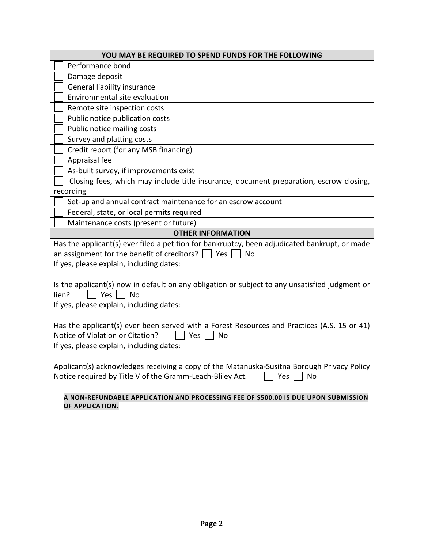| YOU MAY BE REQUIRED TO SPEND FUNDS FOR THE FOLLOWING                                                                                                                                                               |  |  |  |  |  |  |  |
|--------------------------------------------------------------------------------------------------------------------------------------------------------------------------------------------------------------------|--|--|--|--|--|--|--|
| Performance bond                                                                                                                                                                                                   |  |  |  |  |  |  |  |
| Damage deposit                                                                                                                                                                                                     |  |  |  |  |  |  |  |
| General liability insurance                                                                                                                                                                                        |  |  |  |  |  |  |  |
| Environmental site evaluation                                                                                                                                                                                      |  |  |  |  |  |  |  |
| Remote site inspection costs                                                                                                                                                                                       |  |  |  |  |  |  |  |
| Public notice publication costs                                                                                                                                                                                    |  |  |  |  |  |  |  |
| Public notice mailing costs                                                                                                                                                                                        |  |  |  |  |  |  |  |
| Survey and platting costs                                                                                                                                                                                          |  |  |  |  |  |  |  |
| Credit report (for any MSB financing)                                                                                                                                                                              |  |  |  |  |  |  |  |
| Appraisal fee                                                                                                                                                                                                      |  |  |  |  |  |  |  |
| As-built survey, if improvements exist                                                                                                                                                                             |  |  |  |  |  |  |  |
| Closing fees, which may include title insurance, document preparation, escrow closing,                                                                                                                             |  |  |  |  |  |  |  |
| recording                                                                                                                                                                                                          |  |  |  |  |  |  |  |
| Set-up and annual contract maintenance for an escrow account                                                                                                                                                       |  |  |  |  |  |  |  |
| Federal, state, or local permits required                                                                                                                                                                          |  |  |  |  |  |  |  |
| Maintenance costs (present or future)                                                                                                                                                                              |  |  |  |  |  |  |  |
| <b>OTHER INFORMATION</b>                                                                                                                                                                                           |  |  |  |  |  |  |  |
| Has the applicant(s) ever filed a petition for bankruptcy, been adjudicated bankrupt, or made<br>an assignment for the benefit of creditors? $\vert \ \vert$ Yes<br>No<br>If yes, please explain, including dates: |  |  |  |  |  |  |  |
| Is the applicant(s) now in default on any obligation or subject to any unsatisfied judgment or<br>Yes     No<br>lien?<br>If yes, please explain, including dates:                                                  |  |  |  |  |  |  |  |
| Has the applicant(s) ever been served with a Forest Resources and Practices (A.S. 15 or 41)<br>Notice of Violation or Citation?<br>Yes<br><b>No</b><br>If yes, please explain, including dates:                    |  |  |  |  |  |  |  |
| Applicant(s) acknowledges receiving a copy of the Matanuska-Susitna Borough Privacy Policy<br>Notice required by Title V of the Gramm-Leach-Bliley Act.<br>Yes<br><b>No</b>                                        |  |  |  |  |  |  |  |
| A NON-REFUNDABLE APPLICATION AND PROCESSING FEE OF \$500.00 IS DUE UPON SUBMISSION<br>OF APPLICATION.                                                                                                              |  |  |  |  |  |  |  |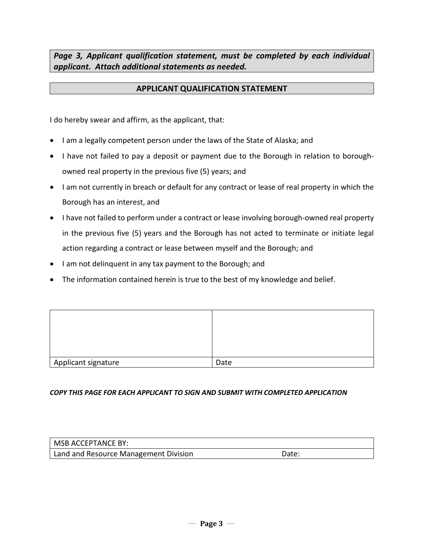*Page 3, Applicant qualification statement, must be completed by each individual applicant. Attach additional statements as needed.*

## **APPLICANT QUALIFICATION STATEMENT**

I do hereby swear and affirm, as the applicant, that:

- I am a legally competent person under the laws of the State of Alaska; and
- I have not failed to pay a deposit or payment due to the Borough in relation to boroughowned real property in the previous five (5) years; and
- I am not currently in breach or default for any contract or lease of real property in which the Borough has an interest, and
- I have not failed to perform under a contract or lease involving borough-owned real property in the previous five (5) years and the Borough has not acted to terminate or initiate legal action regarding a contract or lease between myself and the Borough; and
- I am not delinquent in any tax payment to the Borough; and
- The information contained herein is true to the best of my knowledge and belief.

| Applicant signature | Date |
|---------------------|------|

*COPY THIS PAGE FOR EACH APPLICANT TO SIGN AND SUBMIT WITH COMPLETED APPLICATION*

| MSB ACCEPTANCE BY:                    |                   |
|---------------------------------------|-------------------|
| Land and Resource Management Division | Date <sup>-</sup> |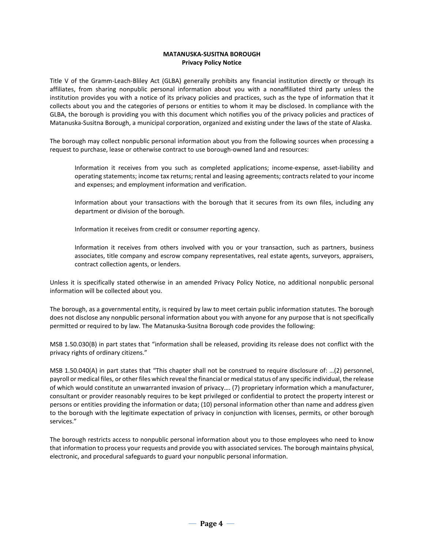### **MATANUSKA-SUSITNA BOROUGH Privacy Policy Notice**

Title V of the Gramm-Leach-Bliley Act (GLBA) generally prohibits any financial institution directly or through its affiliates, from sharing nonpublic personal information about you with a nonaffiliated third party unless the institution provides you with a notice of its privacy policies and practices, such as the type of information that it collects about you and the categories of persons or entities to whom it may be disclosed. In compliance with the GLBA, the borough is providing you with this document which notifies you of the privacy policies and practices of Matanuska-Susitna Borough, a municipal corporation, organized and existing under the laws of the state of Alaska.

The borough may collect nonpublic personal information about you from the following sources when processing a request to purchase, lease or otherwise contract to use borough-owned land and resources:

Information it receives from you such as completed applications; income-expense, asset-liability and operating statements; income tax returns; rental and leasing agreements; contracts related to your income and expenses; and employment information and verification.

Information about your transactions with the borough that it secures from its own files, including any department or division of the borough.

Information it receives from credit or consumer reporting agency.

Information it receives from others involved with you or your transaction, such as partners, business associates, title company and escrow company representatives, real estate agents, surveyors, appraisers, contract collection agents, or lenders.

Unless it is specifically stated otherwise in an amended Privacy Policy Notice, no additional nonpublic personal information will be collected about you.

The borough, as a governmental entity, is required by law to meet certain public information statutes. The borough does not disclose any nonpublic personal information about you with anyone for any purpose that is not specifically permitted or required to by law. The Matanuska-Susitna Borough code provides the following:

MSB 1.50.030(B) in part states that "information shall be released, providing its release does not conflict with the privacy rights of ordinary citizens."

MSB 1.50.040(A) in part states that "This chapter shall not be construed to require disclosure of: …(2) personnel, payroll or medical files, or other files which reveal the financial or medical status of any specific individual, the release of which would constitute an unwarranted invasion of privacy…. (7) proprietary information which a manufacturer, consultant or provider reasonably requires to be kept privileged or confidential to protect the property interest or persons or entities providing the information or data; (10) personal information other than name and address given to the borough with the legitimate expectation of privacy in conjunction with licenses, permits, or other borough services."

The borough restricts access to nonpublic personal information about you to those employees who need to know that information to process your requests and provide you with associated services. The borough maintains physical, electronic, and procedural safeguards to guard your nonpublic personal information.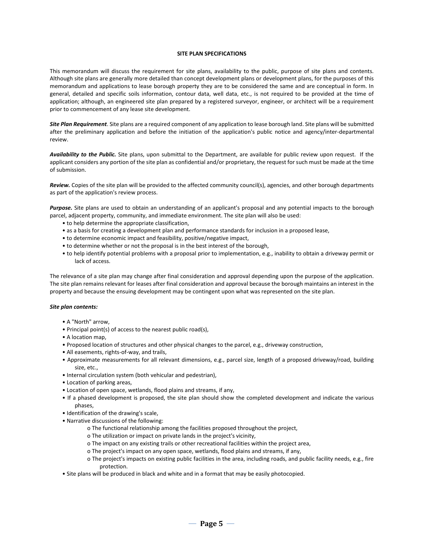#### **SITE PLAN SPECIFICATIONS**

This memorandum will discuss the requirement for site plans, availability to the public, purpose of site plans and contents. Although site plans are generally more detailed than concept development plans or development plans, for the purposes of this memorandum and applications to lease borough property they are to be considered the same and are conceptual in form. In general, detailed and specific soils information, contour data, well data, etc., is not required to be provided at the time of application; although, an engineered site plan prepared by a registered surveyor, engineer, or architect will be a requirement prior to commencement of any lease site development.

*Site Plan Requirement*. Site plans are a required component of any application to lease borough land. Site plans will be submitted after the preliminary application and before the initiation of the application's public notice and agency/inter-departmental review.

*Availability to the Public.* Site plans, upon submittal to the Department, are available for public review upon request. If the applicant considers any portion of the site plan as confidential and/or proprietary, the request for such must be made at the time of submission.

*Review.* Copies of the site plan will be provided to the affected community council(s), agencies, and other borough departments as part of the application's review process.

*Purpose.* Site plans are used to obtain an understanding of an applicant's proposal and any potential impacts to the borough parcel, adjacent property, community, and immediate environment. The site plan will also be used:

- to help determine the appropriate classification,
- as a basis for creating a development plan and performance standards for inclusion in a proposed lease,
- to determine economic impact and feasibility, positive/negative impact,
- to determine whether or not the proposal is in the best interest of the borough,
- to help identify potential problems with a proposal prior to implementation, e.g., inability to obtain a driveway permit or lack of access.

The relevance of a site plan may change after final consideration and approval depending upon the purpose of the application. The site plan remains relevant for leases after final consideration and approval because the borough maintains an interest in the property and because the ensuing development may be contingent upon what was represented on the site plan.

#### *Site plan contents:*

- A "North" arrow,
- Principal point(s) of access to the nearest public road(s),
- A location map,
- Proposed location of structures and other physical changes to the parcel, e.g., driveway construction,
- All easements, rights-of-way, and trails,
- Approximate measurements for all relevant dimensions, e.g., parcel size, length of a proposed driveway/road, building size, etc.,
- Internal circulation system (both vehicular and pedestrian),
- Location of parking areas,
- Location of open space, wetlands, flood plains and streams, if any,
- If a phased development is proposed, the site plan should show the completed development and indicate the various phases,
- Identification of the drawing's scale,
- Narrative discussions of the following:
	- o The functional relationship among the facilities proposed throughout the project,
	- o The utilization or impact on private lands in the project's vicinity,
	- o The impact on any existing trails or other recreational facilities within the project area,
	- o The project's impact on any open space, wetlands, flood plains and streams, if any,
	- o The project's impacts on existing public facilities in the area, including roads, and public facility needs, e.g., fire protection.
- Site plans will be produced in black and white and in a format that may be easily photocopied.